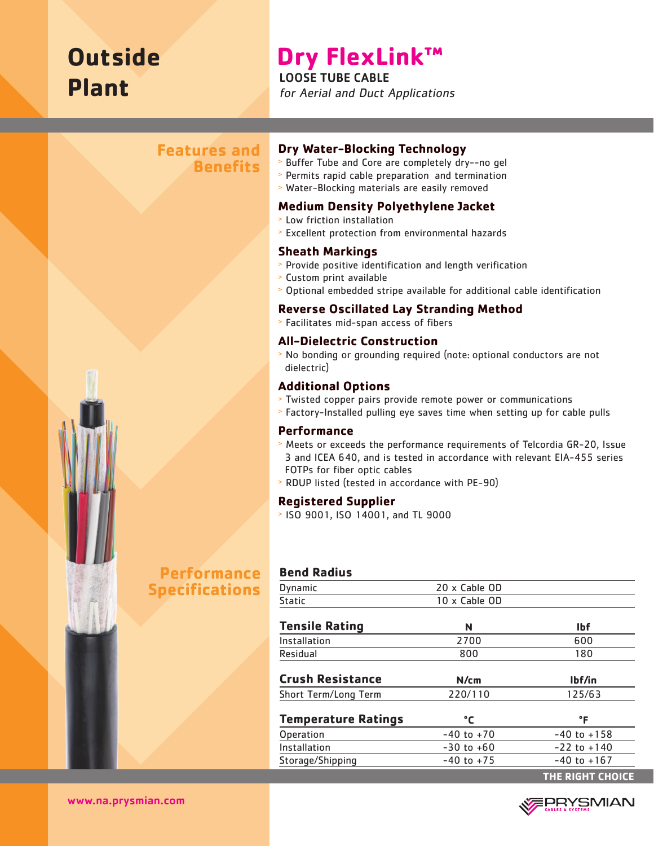# **Outside Plant**

## **Dry FlexLink™**

LOOSE TUBE CABLE for Aerial and Duct Applications

## **Features and Benefits**



#### **Dry Water-Blocking Technology**

- <sup>&</sup>gt; Buffer Tube and Core are completely dry--no gel
- <sup>&</sup>gt; Permits rapid cable preparation and termination
- <sup>&</sup>gt; Water-Blocking materials are easily removed

#### **Medium Density Polyethylene Jacket**

- <sup>&</sup>gt; Low friction installation
- <sup>&</sup>gt; Excellent protection from environmental hazards

#### **Sheath Markings**

- <sup>&</sup>gt; Provide positive identification and length verification
- <sup>&</sup>gt; Custom print available
- <sup>&</sup>gt; Optional embedded stripe available for additional cable identification

#### **Reverse Oscillated Lay Stranding Method**

<sup>&</sup>gt; Facilitates mid-span access of fibers

#### **All-Dielectric Construction**

<sup>&</sup>gt; No bonding or grounding required (note: optional conductors are not dielectric)

#### **Additional Options**

- <sup>&</sup>gt; Twisted copper pairs provide remote power or communications
- <sup>&</sup>gt; Factory-Installed pulling eye saves time when setting up for cable pulls

#### **Performance**

- <sup>&</sup>gt; Meets or exceeds the performance requirements of Telcordia GR-20, Issue 3 and ICEA 640, and is tested in accordance with relevant EIA-455 series FOTPs for fiber optic cables
- <sup>&</sup>gt; RDUP listed (tested in accordance with PE-90)

#### **Registered Supplier**

<sup>&</sup>gt; ISO 9001, ISO 14001, and TL 9000

#### **Bend Radius**

| Dynamic                    | 20 x Cable OD  |                  |
|----------------------------|----------------|------------------|
| Static                     | 10 x Cable OD  |                  |
| <b>Tensile Rating</b>      | N              | <b>Ibf</b>       |
| Installation               | 2700           | 600              |
| Residual                   | 800            | 180              |
| <b>Crush Resistance</b>    | N/cm           | lbf/in           |
| Short Term/Long Term       | 220/110        | 125/63           |
| <b>Temperature Ratings</b> | °C             | °F               |
| Operation                  | $-40$ to $+70$ | $-40$ to $+158$  |
| Installation               | $-30$ to $+60$ | $-22$ to $+140$  |
| Storage/Shipping           | $-40$ to $+75$ | $-40$ to $+167$  |
|                            |                | THE RIGHT CHOICE |



www.na.prysmian.com